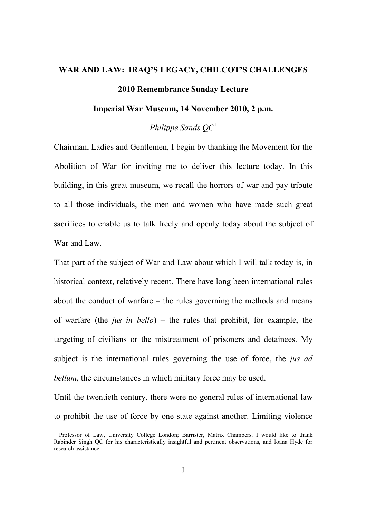## **WAR AND LAW: IRAQ'S LEGACY, CHILCOT'S CHALLENGES 2010 Remembrance Sunday Lecture**

## **Imperial War Museum, 14 November 2010, 2 p.m.**

*Philippe Sands QC*<sup>1</sup>

Chairman, Ladies and Gentlemen, I begin by thanking the Movement for the Abolition of War for inviting me to deliver this lecture today. In this building, in this great museum, we recall the horrors of war and pay tribute to all those individuals, the men and women who have made such great sacrifices to enable us to talk freely and openly today about the subject of War and Law.

That part of the subject of War and Law about which I will talk today is, in historical context, relatively recent. There have long been international rules about the conduct of warfare – the rules governing the methods and means of warfare (the *jus in bello*) – the rules that prohibit, for example, the targeting of civilians or the mistreatment of prisoners and detainees. My subject is the international rules governing the use of force, the *jus ad bellum*, the circumstances in which military force may be used.

Until the twentieth century, there were no general rules of international law to prohibit the use of force by one state against another. Limiting violence

<sup>&</sup>lt;sup>1</sup> Professor of Law, University College London; Barrister, Matrix Chambers. I would like to thank Rabinder Singh QC for his characteristically insightful and pertinent observations, and Ioana Hyde for research assistance.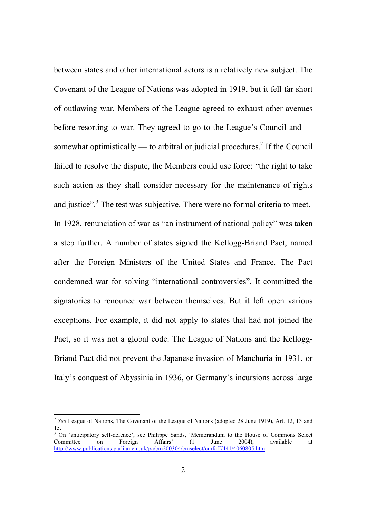between states and other international actors is a relatively new subject. The Covenant of the League of Nations was adopted in 1919, but it fell far short of outlawing war. Members of the League agreed to exhaust other avenues before resorting to war. They agreed to go to the League's Council and somewhat optimistically — to arbitral or judicial procedures.<sup>2</sup> If the Council failed to resolve the dispute, the Members could use force: "the right to take such action as they shall consider necessary for the maintenance of rights and justice".<sup>3</sup> The test was subjective. There were no formal criteria to meet. In 1928, renunciation of war as "an instrument of national policy" was taken a step further. A number of states signed the Kellogg-Briand Pact, named after the Foreign Ministers of the United States and France. The Pact condemned war for solving "international controversies". It committed the signatories to renounce war between themselves. But it left open various exceptions. For example, it did not apply to states that had not joined the Pact, so it was not a global code. The League of Nations and the Kellogg-Briand Pact did not prevent the Japanese invasion of Manchuria in 1931, or Italy's conquest of Abyssinia in 1936, or Germany's incursions across large

<sup>&</sup>lt;sup>2</sup> See League of Nations, The Covenant of the League of Nations (adopted 28 June 1919), Art. 12, 13 and 15.

<sup>&</sup>lt;sup>3</sup> On 'anticipatory self-defence', see Philippe Sands, 'Memorandum to the House of Commons Select Committee on Foreign Affairs' (1 June 2004), available at http://www.publications.parliament.uk/pa/cm200304/cmselect/cmfaff/441/4060805.htm.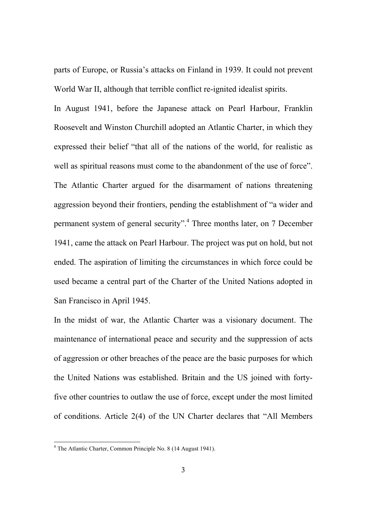parts of Europe, or Russia's attacks on Finland in 1939. It could not prevent World War II, although that terrible conflict re-ignited idealist spirits.

In August 1941, before the Japanese attack on Pearl Harbour, Franklin Roosevelt and Winston Churchill adopted an Atlantic Charter, in which they expressed their belief "that all of the nations of the world, for realistic as well as spiritual reasons must come to the abandonment of the use of force". The Atlantic Charter argued for the disarmament of nations threatening aggression beyond their frontiers, pending the establishment of "a wider and permanent system of general security".<sup>4</sup> Three months later, on 7 December 1941, came the attack on Pearl Harbour. The project was put on hold, but not ended. The aspiration of limiting the circumstances in which force could be used became a central part of the Charter of the United Nations adopted in San Francisco in April 1945.

In the midst of war, the Atlantic Charter was a visionary document. The maintenance of international peace and security and the suppression of acts of aggression or other breaches of the peace are the basic purposes for which the United Nations was established. Britain and the US joined with fortyfive other countries to outlaw the use of force, except under the most limited of conditions. Article 2(4) of the UN Charter declares that "All Members

<sup>4</sup> The Atlantic Charter, Common Principle No. 8 (14 August 1941).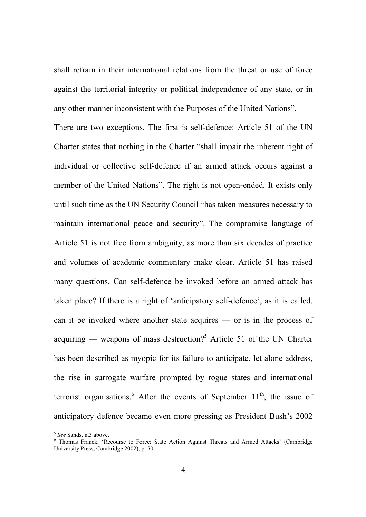shall refrain in their international relations from the threat or use of force against the territorial integrity or political independence of any state, or in any other manner inconsistent with the Purposes of the United Nations".

There are two exceptions. The first is self-defence: Article 51 of the UN Charter states that nothing in the Charter "shall impair the inherent right of individual or collective self-defence if an armed attack occurs against a member of the United Nations". The right is not open-ended. It exists only until such time as the UN Security Council "has taken measures necessary to maintain international peace and security". The compromise language of Article 51 is not free from ambiguity, as more than six decades of practice and volumes of academic commentary make clear. Article 51 has raised many questions. Can self-defence be invoked before an armed attack has taken place? If there is a right of 'anticipatory self-defence', as it is called, can it be invoked where another state acquires — or is in the process of acquiring — weapons of mass destruction?<sup>5</sup> Article 51 of the UN Charter has been described as myopic for its failure to anticipate, let alone address, the rise in surrogate warfare prompted by rogue states and international terrorist organisations.<sup>6</sup> After the events of September  $11<sup>th</sup>$ , the issue of anticipatory defence became even more pressing as President Bush's 2002

<sup>5</sup> *See* Sands, n.3 above.

<sup>6</sup> Thomas Franck, 'Recourse to Force: State Action Against Threats and Armed Attacks' (Cambridge University Press, Cambridge 2002), p. 50.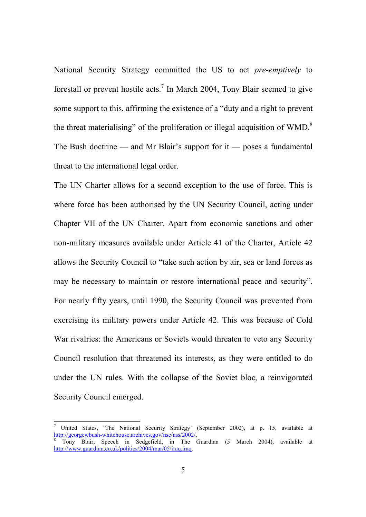National Security Strategy committed the US to act *pre-emptively* to forestall or prevent hostile acts.<sup>7</sup> In March 2004, Tony Blair seemed to give some support to this, affirming the existence of a "duty and a right to prevent the threat materialising" of the proliferation or illegal acquisition of WMD.<sup>8</sup> The Bush doctrine — and Mr Blair's support for it — poses a fundamental threat to the international legal order.

The UN Charter allows for a second exception to the use of force. This is where force has been authorised by the UN Security Council, acting under Chapter VII of the UN Charter. Apart from economic sanctions and other non-military measures available under Article 41 of the Charter, Article 42 allows the Security Council to "take such action by air, sea or land forces as may be necessary to maintain or restore international peace and security". For nearly fifty years, until 1990, the Security Council was prevented from exercising its military powers under Article 42. This was because of Cold War rivalries: the Americans or Soviets would threaten to veto any Security Council resolution that threatened its interests, as they were entitled to do under the UN rules. With the collapse of the Soviet bloc, a reinvigorated Security Council emerged.

<sup>7</sup> United States, 'The National Security Strategy' (September 2002), at p. 15, available at http://georgewbush-whitehouse.archives.gov/nsc/nss/2002/. 8

Tony Blair, Speech in Sedgefield, in The Guardian (5 March 2004), available at http://www.guardian.co.uk/politics/2004/mar/05/iraq.iraq.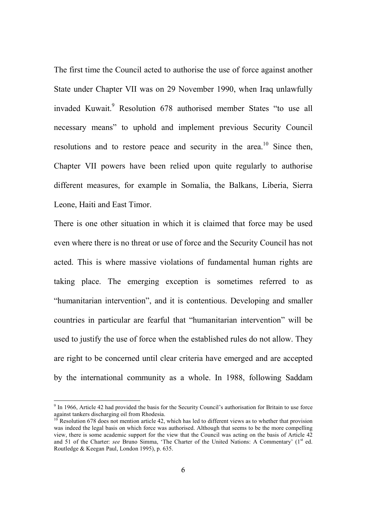The first time the Council acted to authorise the use of force against another State under Chapter VII was on 29 November 1990, when Iraq unlawfully invaded Kuwait.<sup>9</sup> Resolution 678 authorised member States "to use all necessary means" to uphold and implement previous Security Council resolutions and to restore peace and security in the area.<sup>10</sup> Since then, Chapter VII powers have been relied upon quite regularly to authorise different measures, for example in Somalia, the Balkans, Liberia, Sierra Leone, Haiti and East Timor.

There is one other situation in which it is claimed that force may be used even where there is no threat or use of force and the Security Council has not acted. This is where massive violations of fundamental human rights are taking place. The emerging exception is sometimes referred to as "humanitarian intervention", and it is contentious. Developing and smaller countries in particular are fearful that "humanitarian intervention" will be used to justify the use of force when the established rules do not allow. They are right to be concerned until clear criteria have emerged and are accepted by the international community as a whole. In 1988, following Saddam

 $9$  In 1966, Article 42 had provided the basis for the Security Council's authorisation for Britain to use force against tankers discharging oil from Rhodesia.

<sup>10</sup> Resolution 678 does not mention article 42, which has led to different views as to whether that provision was indeed the legal basis on which force was authorised. Although that seems to be the more compelling view, there is some academic support for the view that the Council was acting on the basis of Article 42 and 51 of the Charter: see Bruno Simma, 'The Charter of the United Nations: A Commentary' (1<sup>st</sup> ed. Routledge & Keegan Paul, London 1995), p. 635.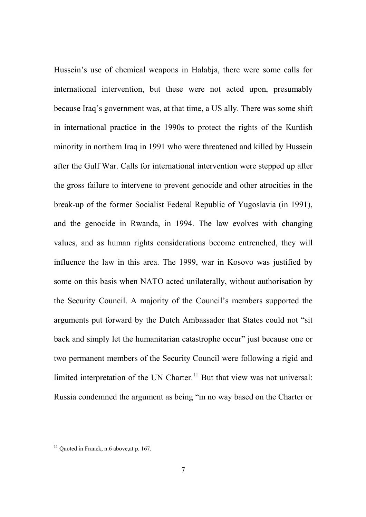Hussein's use of chemical weapons in Halabja, there were some calls for international intervention, but these were not acted upon, presumably because Iraq's government was, at that time, a US ally. There was some shift in international practice in the 1990s to protect the rights of the Kurdish minority in northern Iraq in 1991 who were threatened and killed by Hussein after the Gulf War. Calls for international intervention were stepped up after the gross failure to intervene to prevent genocide and other atrocities in the break-up of the former Socialist Federal Republic of Yugoslavia (in 1991), and the genocide in Rwanda, in 1994. The law evolves with changing values, and as human rights considerations become entrenched, they will influence the law in this area. The 1999, war in Kosovo was justified by some on this basis when NATO acted unilaterally, without authorisation by the Security Council. A majority of the Council's members supported the arguments put forward by the Dutch Ambassador that States could not "sit back and simply let the humanitarian catastrophe occur" just because one or two permanent members of the Security Council were following a rigid and limited interpretation of the UN Charter.<sup>11</sup> But that view was not universal: Russia condemned the argument as being "in no way based on the Charter or

<sup>&</sup>lt;sup>11</sup> Quoted in Franck, n.6 above, at p. 167.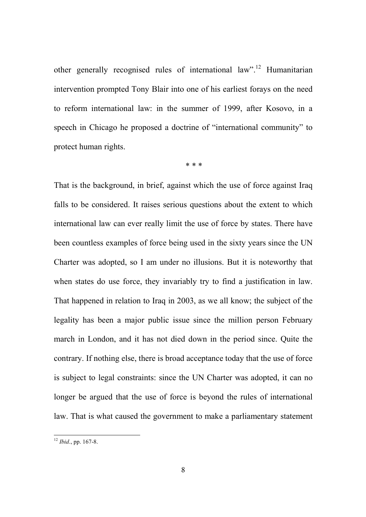other generally recognised rules of international law".<sup>12</sup> Humanitarian intervention prompted Tony Blair into one of his earliest forays on the need to reform international law: in the summer of 1999, after Kosovo, in a speech in Chicago he proposed a doctrine of "international community" to protect human rights.

\* \* \*

That is the background, in brief, against which the use of force against Iraq falls to be considered. It raises serious questions about the extent to which international law can ever really limit the use of force by states. There have been countless examples of force being used in the sixty years since the UN Charter was adopted, so I am under no illusions. But it is noteworthy that when states do use force, they invariably try to find a justification in law. That happened in relation to Iraq in 2003, as we all know; the subject of the legality has been a major public issue since the million person February march in London, and it has not died down in the period since. Quite the contrary. If nothing else, there is broad acceptance today that the use of force is subject to legal constraints: since the UN Charter was adopted, it can no longer be argued that the use of force is beyond the rules of international law. That is what caused the government to make a parliamentary statement

<sup>12</sup> *Ibid*., pp. 167-8.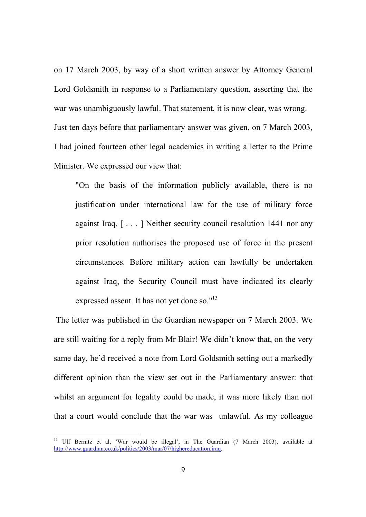on 17 March 2003, by way of a short written answer by Attorney General Lord Goldsmith in response to a Parliamentary question, asserting that the war was unambiguously lawful. That statement, it is now clear, was wrong. Just ten days before that parliamentary answer was given, on 7 March 2003, I had joined fourteen other legal academics in writing a letter to the Prime Minister. We expressed our view that:

"On the basis of the information publicly available, there is no justification under international law for the use of military force against Iraq. [ . . . ] Neither security council resolution 1441 nor any prior resolution authorises the proposed use of force in the present circumstances. Before military action can lawfully be undertaken against Iraq, the Security Council must have indicated its clearly expressed assent. It has not yet done so."<sup>13</sup>

 The letter was published in the Guardian newspaper on 7 March 2003. We are still waiting for a reply from Mr Blair! We didn't know that, on the very same day, he'd received a note from Lord Goldsmith setting out a markedly different opinion than the view set out in the Parliamentary answer: that whilst an argument for legality could be made, it was more likely than not that a court would conclude that the war was unlawful. As my colleague

<sup>13</sup> Ulf Bernitz et al, 'War would be illegal', in The Guardian (7 March 2003), available at http://www.guardian.co.uk/politics/2003/mar/07/highereducation.iraq.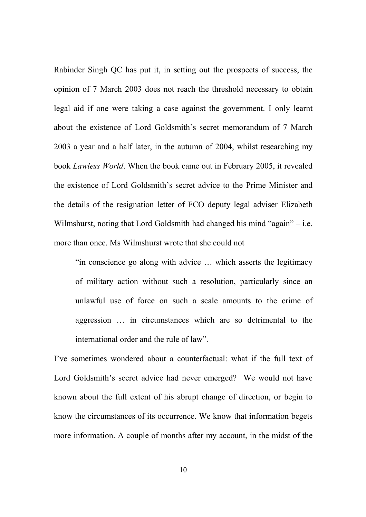Rabinder Singh QC has put it, in setting out the prospects of success, the opinion of 7 March 2003 does not reach the threshold necessary to obtain legal aid if one were taking a case against the government. I only learnt about the existence of Lord Goldsmith's secret memorandum of 7 March 2003 a year and a half later, in the autumn of 2004, whilst researching my book *Lawless World*. When the book came out in February 2005, it revealed the existence of Lord Goldsmith's secret advice to the Prime Minister and the details of the resignation letter of FCO deputy legal adviser Elizabeth Wilmshurst, noting that Lord Goldsmith had changed his mind "again" – i.e. more than once. Ms Wilmshurst wrote that she could not

"in conscience go along with advice … which asserts the legitimacy of military action without such a resolution, particularly since an unlawful use of force on such a scale amounts to the crime of aggression … in circumstances which are so detrimental to the international order and the rule of law".

I've sometimes wondered about a counterfactual: what if the full text of Lord Goldsmith's secret advice had never emerged? We would not have known about the full extent of his abrupt change of direction, or begin to know the circumstances of its occurrence. We know that information begets more information. A couple of months after my account, in the midst of the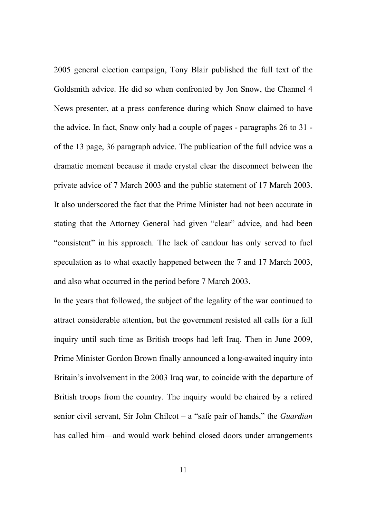2005 general election campaign, Tony Blair published the full text of the Goldsmith advice. He did so when confronted by Jon Snow, the Channel 4 News presenter, at a press conference during which Snow claimed to have the advice. In fact, Snow only had a couple of pages - paragraphs 26 to 31 of the 13 page, 36 paragraph advice. The publication of the full advice was a dramatic moment because it made crystal clear the disconnect between the private advice of 7 March 2003 and the public statement of 17 March 2003. It also underscored the fact that the Prime Minister had not been accurate in stating that the Attorney General had given "clear" advice, and had been "consistent" in his approach. The lack of candour has only served to fuel speculation as to what exactly happened between the 7 and 17 March 2003, and also what occurred in the period before 7 March 2003.

In the years that followed, the subject of the legality of the war continued to attract considerable attention, but the government resisted all calls for a full inquiry until such time as British troops had left Iraq. Then in June 2009, Prime Minister Gordon Brown finally announced a long-awaited inquiry into Britain's involvement in the 2003 Iraq war, to coincide with the departure of British troops from the country. The inquiry would be chaired by a retired senior civil servant, Sir John Chilcot – a "safe pair of hands," the *Guardian*  has called him—and would work behind closed doors under arrangements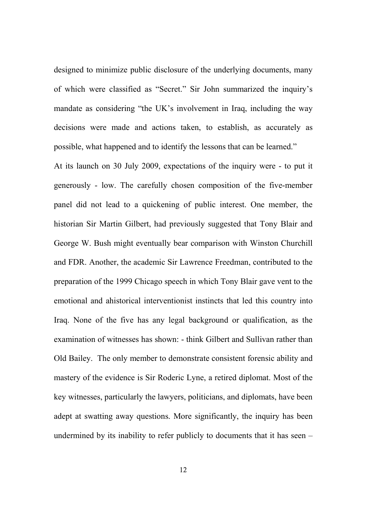designed to minimize public disclosure of the underlying documents, many of which were classified as "Secret." Sir John summarized the inquiry's mandate as considering "the UK's involvement in Iraq, including the way decisions were made and actions taken, to establish, as accurately as possible, what happened and to identify the lessons that can be learned."

At its launch on 30 July 2009, expectations of the inquiry were - to put it generously - low. The carefully chosen composition of the five-member panel did not lead to a quickening of public interest. One member, the historian Sir Martin Gilbert, had previously suggested that Tony Blair and George W. Bush might eventually bear comparison with Winston Churchill and FDR. Another, the academic Sir Lawrence Freedman, contributed to the preparation of the 1999 Chicago speech in which Tony Blair gave vent to the emotional and ahistorical interventionist instincts that led this country into Iraq. None of the five has any legal background or qualification, as the examination of witnesses has shown: - think Gilbert and Sullivan rather than Old Bailey. The only member to demonstrate consistent forensic ability and mastery of the evidence is Sir Roderic Lyne, a retired diplomat. Most of the key witnesses, particularly the lawyers, politicians, and diplomats, have been adept at swatting away questions. More significantly, the inquiry has been undermined by its inability to refer publicly to documents that it has seen –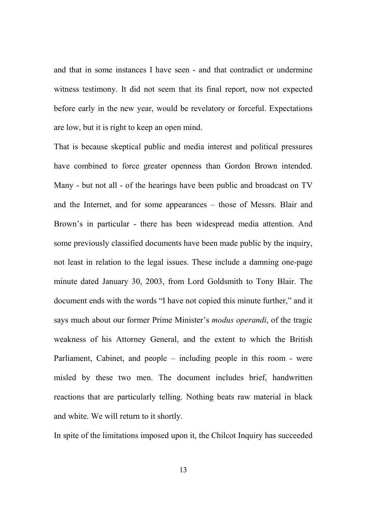and that in some instances I have seen - and that contradict or undermine witness testimony. It did not seem that its final report, now not expected before early in the new year, would be revelatory or forceful. Expectations are low, but it is right to keep an open mind.

That is because skeptical public and media interest and political pressures have combined to force greater openness than Gordon Brown intended. Many - but not all - of the hearings have been public and broadcast on TV and the Internet, and for some appearances – those of Messrs. Blair and Brown's in particular - there has been widespread media attention. And some previously classified documents have been made public by the inquiry, not least in relation to the legal issues. These include a damning one-page minute dated January 30, 2003, from Lord Goldsmith to Tony Blair. The document ends with the words "I have not copied this minute further," and it says much about our former Prime Minister's *modus operandi*, of the tragic weakness of his Attorney General, and the extent to which the British Parliament, Cabinet, and people – including people in this room - were misled by these two men. The document includes brief, handwritten reactions that are particularly telling. Nothing beats raw material in black and white. We will return to it shortly.

In spite of the limitations imposed upon it, the Chilcot Inquiry has succeeded

13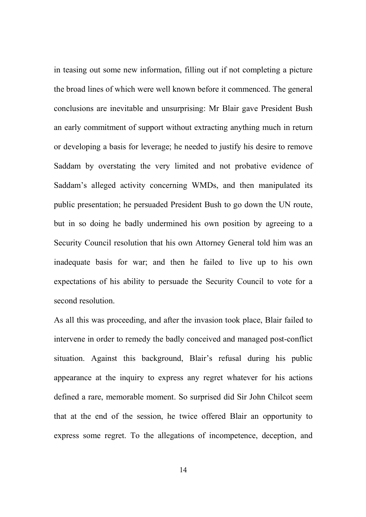in teasing out some new information, filling out if not completing a picture the broad lines of which were well known before it commenced. The general conclusions are inevitable and unsurprising: Mr Blair gave President Bush an early commitment of support without extracting anything much in return or developing a basis for leverage; he needed to justify his desire to remove Saddam by overstating the very limited and not probative evidence of Saddam's alleged activity concerning WMDs, and then manipulated its public presentation; he persuaded President Bush to go down the UN route, but in so doing he badly undermined his own position by agreeing to a Security Council resolution that his own Attorney General told him was an inadequate basis for war; and then he failed to live up to his own expectations of his ability to persuade the Security Council to vote for a second resolution.

As all this was proceeding, and after the invasion took place, Blair failed to intervene in order to remedy the badly conceived and managed post-conflict situation. Against this background, Blair's refusal during his public appearance at the inquiry to express any regret whatever for his actions defined a rare, memorable moment. So surprised did Sir John Chilcot seem that at the end of the session, he twice offered Blair an opportunity to express some regret. To the allegations of incompetence, deception, and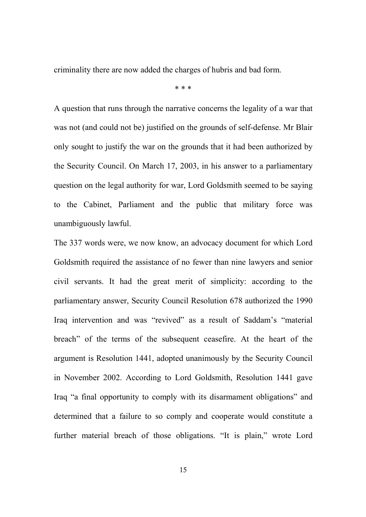criminality there are now added the charges of hubris and bad form.

\* \* \*

A question that runs through the narrative concerns the legality of a war that was not (and could not be) justified on the grounds of self-defense. Mr Blair only sought to justify the war on the grounds that it had been authorized by the Security Council. On March 17, 2003, in his answer to a parliamentary question on the legal authority for war, Lord Goldsmith seemed to be saying to the Cabinet, Parliament and the public that military force was unambiguously lawful.

The 337 words were, we now know, an advocacy document for which Lord Goldsmith required the assistance of no fewer than nine lawyers and senior civil servants. It had the great merit of simplicity: according to the parliamentary answer, Security Council Resolution 678 authorized the 1990 Iraq intervention and was "revived" as a result of Saddam's "material breach" of the terms of the subsequent ceasefire. At the heart of the argument is Resolution 1441, adopted unanimously by the Security Council in November 2002. According to Lord Goldsmith, Resolution 1441 gave Iraq "a final opportunity to comply with its disarmament obligations" and determined that a failure to so comply and cooperate would constitute a further material breach of those obligations. "It is plain," wrote Lord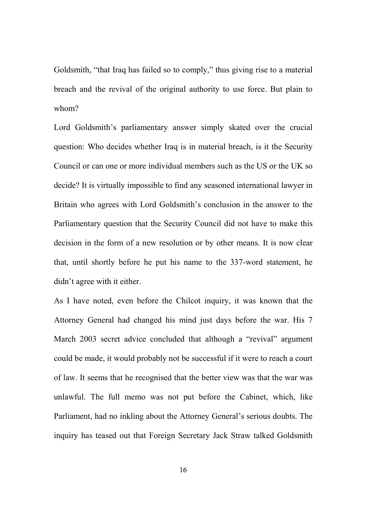Goldsmith, "that Iraq has failed so to comply," thus giving rise to a material breach and the revival of the original authority to use force. But plain to whom?

Lord Goldsmith's parliamentary answer simply skated over the crucial question: Who decides whether Iraq is in material breach, is it the Security Council or can one or more individual members such as the US or the UK so decide? It is virtually impossible to find any seasoned international lawyer in Britain who agrees with Lord Goldsmith's conclusion in the answer to the Parliamentary question that the Security Council did not have to make this decision in the form of a new resolution or by other means. It is now clear that, until shortly before he put his name to the 337-word statement, he didn't agree with it either.

As I have noted, even before the Chilcot inquiry, it was known that the Attorney General had changed his mind just days before the war. His 7 March 2003 secret advice concluded that although a "revival" argument could be made, it would probably not be successful if it were to reach a court of law. It seems that he recognised that the better view was that the war was unlawful. The full memo was not put before the Cabinet, which, like Parliament, had no inkling about the Attorney General's serious doubts. The inquiry has teased out that Foreign Secretary Jack Straw talked Goldsmith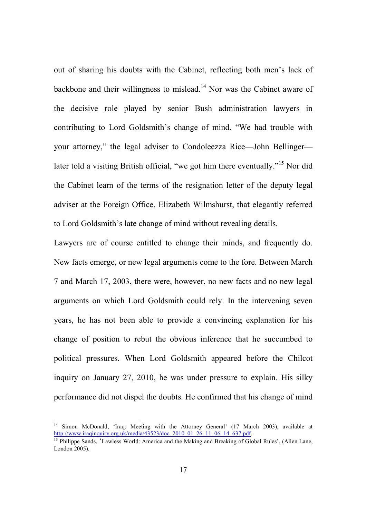out of sharing his doubts with the Cabinet, reflecting both men's lack of backbone and their willingness to mislead.<sup>14</sup> Nor was the Cabinet aware of the decisive role played by senior Bush administration lawyers in contributing to Lord Goldsmith's change of mind. "We had trouble with your attorney," the legal adviser to Condoleezza Rice—John Bellinger later told a visiting British official, "we got him there eventually."<sup>15</sup> Nor did the Cabinet learn of the terms of the resignation letter of the deputy legal adviser at the Foreign Office, Elizabeth Wilmshurst, that elegantly referred to Lord Goldsmith's late change of mind without revealing details.

Lawyers are of course entitled to change their minds, and frequently do. New facts emerge, or new legal arguments come to the fore. Between March 7 and March 17, 2003, there were, however, no new facts and no new legal arguments on which Lord Goldsmith could rely. In the intervening seven years, he has not been able to provide a convincing explanation for his change of position to rebut the obvious inference that he succumbed to political pressures. When Lord Goldsmith appeared before the Chilcot inquiry on January 27, 2010, he was under pressure to explain. His silky performance did not dispel the doubts. He confirmed that his change of mind

<sup>&</sup>lt;sup>14</sup> Simon McDonald, 'Iraq: Meeting with the Attorney General' (17 March 2003), available at http://www.iraqinquiry.org.uk/media/43523/doc\_2010\_01\_26\_11\_06\_14\_637.pdf.

<sup>&</sup>lt;sup>15</sup> Philippe Sands, 'Lawless World: America and the Making and Breaking of Global Rules', (Allen Lane, London 2005).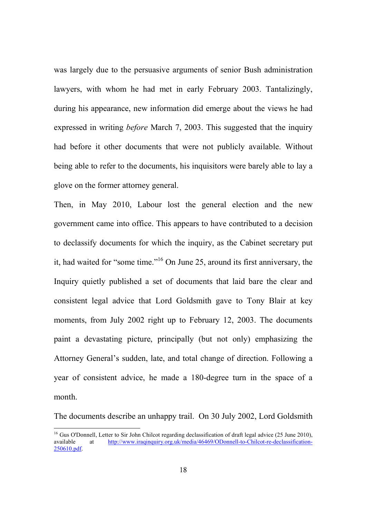was largely due to the persuasive arguments of senior Bush administration lawyers, with whom he had met in early February 2003. Tantalizingly, during his appearance, new information did emerge about the views he had expressed in writing *before* March 7, 2003. This suggested that the inquiry had before it other documents that were not publicly available. Without being able to refer to the documents, his inquisitors were barely able to lay a glove on the former attorney general.

Then, in May 2010, Labour lost the general election and the new government came into office. This appears to have contributed to a decision to declassify documents for which the inquiry, as the Cabinet secretary put it, had waited for "some time."<sup>16</sup> On June 25, around its first anniversary, the Inquiry quietly published a set of documents that laid bare the clear and consistent legal advice that Lord Goldsmith gave to Tony Blair at key moments, from July 2002 right up to February 12, 2003. The documents paint a devastating picture, principally (but not only) emphasizing the Attorney General's sudden, late, and total change of direction. Following a year of consistent advice, he made a 180-degree turn in the space of a month.

The documents describe an unhappy trail. On 30 July 2002, Lord Goldsmith

<sup>&</sup>lt;sup>16</sup> Gus O'Donnell, Letter to Sir John Chilcot regarding declassification of draft legal advice (25 June 2010), available at http://www.iraginguiry.org.uk/media/46469/ODonnell-to-Chilcot-re-declassificationat http://www.iraqinquiry.org.uk/media/46469/ODonnell-to-Chilcot-re-declassification-250610.pdf.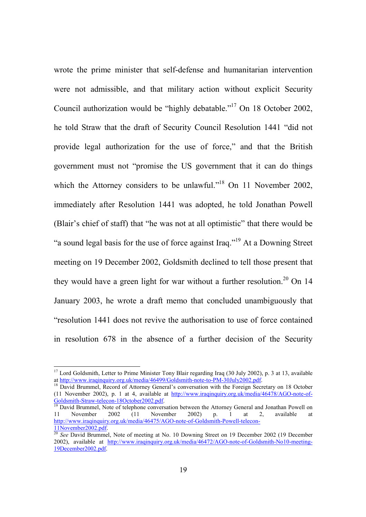wrote the prime minister that self-defense and humanitarian intervention were not admissible, and that military action without explicit Security Council authorization would be "highly debatable."<sup>17</sup> On 18 October 2002, he told Straw that the draft of Security Council Resolution 1441 "did not provide legal authorization for the use of force," and that the British government must not "promise the US government that it can do things which the Attorney considers to be unlawful."<sup>18</sup> On 11 November 2002, immediately after Resolution 1441 was adopted, he told Jonathan Powell (Blair's chief of staff) that "he was not at all optimistic" that there would be "a sound legal basis for the use of force against Iraq."<sup>19</sup> At a Downing Street meeting on 19 December 2002, Goldsmith declined to tell those present that they would have a green light for war without a further resolution.<sup>20</sup> On 14 January 2003, he wrote a draft memo that concluded unambiguously that "resolution 1441 does not revive the authorisation to use of force contained in resolution 678 in the absence of a further decision of the Security

<sup>&</sup>lt;sup>17</sup> Lord Goldsmith, Letter to Prime Minister Tony Blair regarding Iraq (30 July 2002), p. 3 at 13, available at http://www.iraqinquiry.org.uk/media/46499/Goldsmith-note-to-PM-30July2002.pdf.

<sup>&</sup>lt;sup>18</sup> David Brummel, Record of Attorney General's conversation with the Foreign Secretary on 18 October (11 November 2002), p. 1 at 4, available at http://www.iraqinquiry.org.uk/media/46478/AGO-note-of-Goldsmith-Straw-telecon-18October2002.pdf.

<sup>&</sup>lt;sup>19</sup> David Brummel, Note of telephone conversation between the Attorney General and Jonathan Powell on 11 November 2002 (11 November 2002) p. 1 at 2, available at http://www.iraqinquiry.org.uk/media/46475/AGO-note-of-Goldsmith-Powell-telecon-11November2002.pdf.

<sup>&</sup>lt;sup>20</sup> See David Brummel, Note of meeting at No. 10 Downing Street on 19 December 2002 (19 December 2002) 2002), available at http://www.iraqinquiry.org.uk/media/46472/AGO-note-of-Goldsmith-No10-meeting-19December2002.pdf.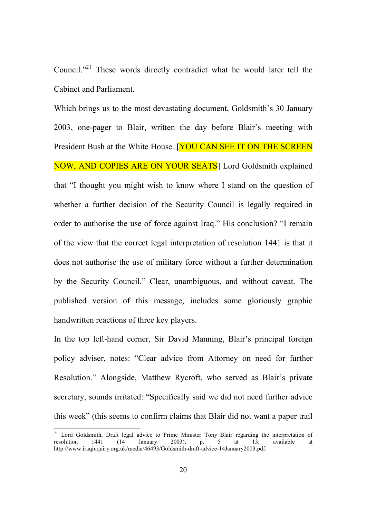Council."<sup>21</sup> These words directly contradict what he would later tell the Cabinet and Parliament.

Which brings us to the most devastating document, Goldsmith's 30 January 2003, one-pager to Blair, written the day before Blair's meeting with President Bush at the White House. **[YOU CAN SEE IT ON THE SCREEN**] NOW, AND COPIES ARE ON YOUR SEATS] Lord Goldsmith explained that "I thought you might wish to know where I stand on the question of whether a further decision of the Security Council is legally required in order to authorise the use of force against Iraq." His conclusion? "I remain of the view that the correct legal interpretation of resolution 1441 is that it does not authorise the use of military force without a further determination by the Security Council." Clear, unambiguous, and without caveat. The published version of this message, includes some gloriously graphic handwritten reactions of three key players.

In the top left-hand corner, Sir David Manning, Blair's principal foreign policy adviser, notes: "Clear advice from Attorney on need for further Resolution." Alongside, Matthew Rycroft, who served as Blair's private secretary, sounds irritated: "Specifically said we did not need further advice this week" (this seems to confirm claims that Blair did not want a paper trail

<sup>&</sup>lt;sup>21</sup> Lord Goldsmith, Draft legal advice to Prime Minister Tony Blair regarding the interpretation of resolution  $1441$   $(14)$  January  $2003$ , p. 5 at 13 available at resolution 1441 (14 January 2003), p. 5 at 13, available at http://www.iraqinquiry.org.uk/media/46493/Goldsmith-draft-advice-14January2003.pdf.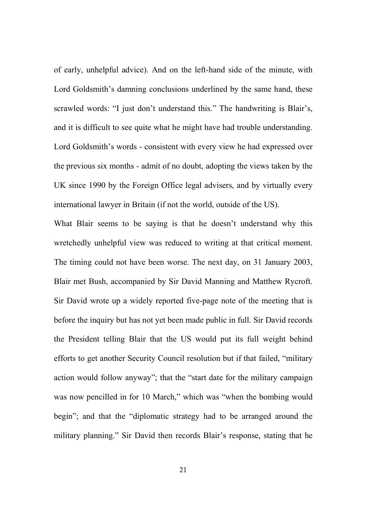of early, unhelpful advice). And on the left-hand side of the minute, with Lord Goldsmith's damning conclusions underlined by the same hand, these scrawled words: "I just don't understand this." The handwriting is Blair's, and it is difficult to see quite what he might have had trouble understanding. Lord Goldsmith's words - consistent with every view he had expressed over the previous six months - admit of no doubt, adopting the views taken by the UK since 1990 by the Foreign Office legal advisers, and by virtually every international lawyer in Britain (if not the world, outside of the US).

What Blair seems to be saying is that he doesn't understand why this wretchedly unhelpful view was reduced to writing at that critical moment. The timing could not have been worse. The next day, on 31 January 2003, Blair met Bush, accompanied by Sir David Manning and Matthew Rycroft. Sir David wrote up a widely reported five-page note of the meeting that is before the inquiry but has not yet been made public in full. Sir David records the President telling Blair that the US would put its full weight behind efforts to get another Security Council resolution but if that failed, "military action would follow anyway"; that the "start date for the military campaign was now pencilled in for 10 March," which was "when the bombing would begin"; and that the "diplomatic strategy had to be arranged around the military planning." Sir David then records Blair's response, stating that he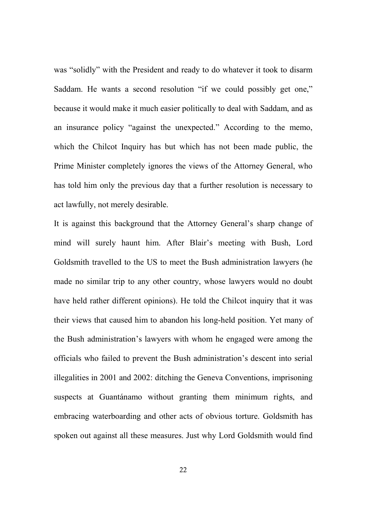was "solidly" with the President and ready to do whatever it took to disarm Saddam. He wants a second resolution "if we could possibly get one," because it would make it much easier politically to deal with Saddam, and as an insurance policy "against the unexpected." According to the memo, which the Chilcot Inquiry has but which has not been made public, the Prime Minister completely ignores the views of the Attorney General, who has told him only the previous day that a further resolution is necessary to act lawfully, not merely desirable.

It is against this background that the Attorney General's sharp change of mind will surely haunt him. After Blair's meeting with Bush, Lord Goldsmith travelled to the US to meet the Bush administration lawyers (he made no similar trip to any other country, whose lawyers would no doubt have held rather different opinions). He told the Chilcot inquiry that it was their views that caused him to abandon his long-held position. Yet many of the Bush administration's lawyers with whom he engaged were among the officials who failed to prevent the Bush administration's descent into serial illegalities in 2001 and 2002: ditching the Geneva Conventions, imprisoning suspects at Guantánamo without granting them minimum rights, and embracing waterboarding and other acts of obvious torture. Goldsmith has spoken out against all these measures. Just why Lord Goldsmith would find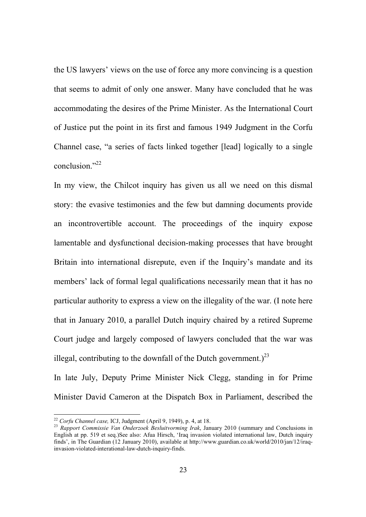the US lawyers' views on the use of force any more convincing is a question that seems to admit of only one answer. Many have concluded that he was accommodating the desires of the Prime Minister. As the International Court of Justice put the point in its first and famous 1949 Judgment in the Corfu Channel case, "a series of facts linked together [lead] logically to a single conclusion."<sup>22</sup>

In my view, the Chilcot inquiry has given us all we need on this dismal story: the evasive testimonies and the few but damning documents provide an incontrovertible account. The proceedings of the inquiry expose lamentable and dysfunctional decision-making processes that have brought Britain into international disrepute, even if the Inquiry's mandate and its members' lack of formal legal qualifications necessarily mean that it has no particular authority to express a view on the illegality of the war. (I note here that in January 2010, a parallel Dutch inquiry chaired by a retired Supreme Court judge and largely composed of lawyers concluded that the war was illegal, contributing to the downfall of the Dutch government.)<sup>23</sup>

In late July, Deputy Prime Minister Nick Clegg, standing in for Prime Minister David Cameron at the Dispatch Box in Parliament, described the

<sup>22</sup> *Corfu Channel case,* ICJ, Judgment (April 9, 1949), p. 4, at 18.

<sup>23</sup> *Rapport Commissie Van Onderzoek Besluitvorming Irak*, January 2010 (summary and Conclusions in English at pp. 519 et seq.)See also: Afua Hirsch, 'Iraq invasion violated international law, Dutch inquiry finds', in The Guardian (12 January 2010), available at http://www.guardian.co.uk/world/2010/jan/12/iraqinvasion-violated-interational-law-dutch-inquiry-finds.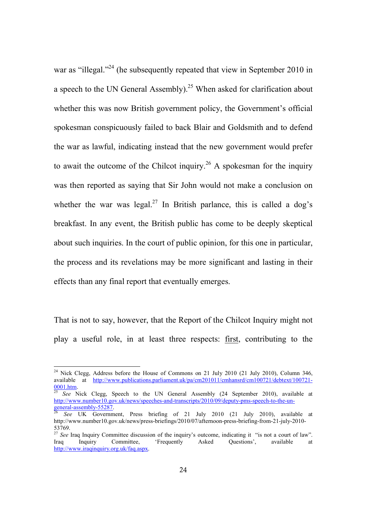war as "illegal."<sup>24</sup> (he subsequently repeated that view in September 2010 in a speech to the UN General Assembly).<sup>25</sup> When asked for clarification about whether this was now British government policy, the Government's official spokesman conspicuously failed to back Blair and Goldsmith and to defend the war as lawful, indicating instead that the new government would prefer to await the outcome of the Chilcot inquiry.<sup>26</sup> A spokesman for the inquiry was then reported as saying that Sir John would not make a conclusion on whether the war was legal.<sup>27</sup> In British parlance, this is called a dog's breakfast. In any event, the British public has come to be deeply skeptical about such inquiries. In the court of public opinion, for this one in particular, the process and its revelations may be more significant and lasting in their effects than any final report that eventually emerges.

That is not to say, however, that the Report of the Chilcot Inquiry might not play a useful role, in at least three respects: first, contributing to the

<sup>&</sup>lt;sup>24</sup> Nick Clegg, Address before the House of Commons on 21 July 2010 (21 July 2010), Column 346, available at http://www.publications.parliament.uk/pa/cm201011/cmhansrd/cm100721/debtext/100721-  $\frac{0001 \text{.htm}}{25}$ 

<sup>25</sup> *See* Nick Clegg, Speech to the UN General Assembly (24 September 2010), available at http://www.number10.gov.uk/news/speeches-and-transcripts/2010/09/deputy-pms-speech-to-the-un- $general-assembly-55287.$ <sup>26</sup></u>

<sup>26</sup> *See* UK Government, Press briefing of 21 July 2010 (21 July 2010), available at http://www.number10.gov.uk/news/press-briefings/2010/07/afternoon-press-briefing-from-21-july-2010- 53769.

<sup>&</sup>lt;sup>27</sup> See Iraq Inquiry Committee discussion of the inquiry's outcome, indicating it "is not a court of law". Iraq Inquiry Committee, 'Frequently Asked Questions', available at http://www.iraqinquiry.org.uk/faq.aspx.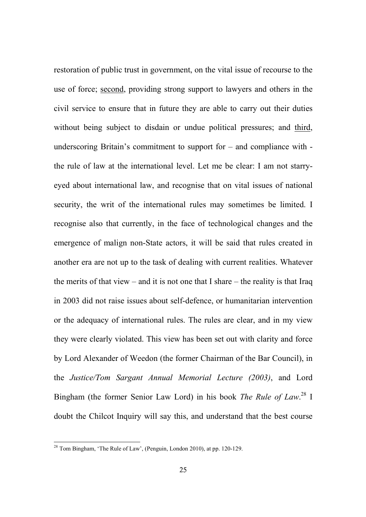restoration of public trust in government, on the vital issue of recourse to the use of force; second, providing strong support to lawyers and others in the civil service to ensure that in future they are able to carry out their duties without being subject to disdain or undue political pressures; and third, underscoring Britain's commitment to support for – and compliance with the rule of law at the international level. Let me be clear: I am not starryeyed about international law, and recognise that on vital issues of national security, the writ of the international rules may sometimes be limited. I recognise also that currently, in the face of technological changes and the emergence of malign non-State actors, it will be said that rules created in another era are not up to the task of dealing with current realities. Whatever the merits of that view – and it is not one that I share – the reality is that Iraq in 2003 did not raise issues about self-defence, or humanitarian intervention or the adequacy of international rules. The rules are clear, and in my view they were clearly violated. This view has been set out with clarity and force by Lord Alexander of Weedon (the former Chairman of the Bar Council), in the *Justice/Tom Sargant Annual Memorial Lecture (2003)*, and Lord Bingham (the former Senior Law Lord) in his book *The Rule of Law*. <sup>28</sup> I doubt the Chilcot Inquiry will say this, and understand that the best course

<sup>&</sup>lt;sup>28</sup> Tom Bingham, 'The Rule of Law', (Penguin, London 2010), at pp. 120-129.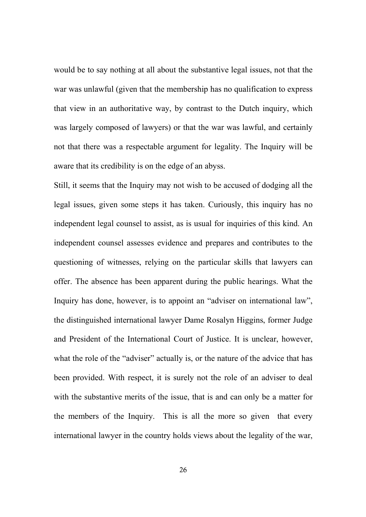would be to say nothing at all about the substantive legal issues, not that the war was unlawful (given that the membership has no qualification to express that view in an authoritative way, by contrast to the Dutch inquiry, which was largely composed of lawyers) or that the war was lawful, and certainly not that there was a respectable argument for legality. The Inquiry will be aware that its credibility is on the edge of an abyss.

Still, it seems that the Inquiry may not wish to be accused of dodging all the legal issues, given some steps it has taken. Curiously, this inquiry has no independent legal counsel to assist, as is usual for inquiries of this kind. An independent counsel assesses evidence and prepares and contributes to the questioning of witnesses, relying on the particular skills that lawyers can offer. The absence has been apparent during the public hearings. What the Inquiry has done, however, is to appoint an "adviser on international law", the distinguished international lawyer Dame Rosalyn Higgins, former Judge and President of the International Court of Justice. It is unclear, however, what the role of the "adviser" actually is, or the nature of the advice that has been provided. With respect, it is surely not the role of an adviser to deal with the substantive merits of the issue, that is and can only be a matter for the members of the Inquiry. This is all the more so given that every international lawyer in the country holds views about the legality of the war,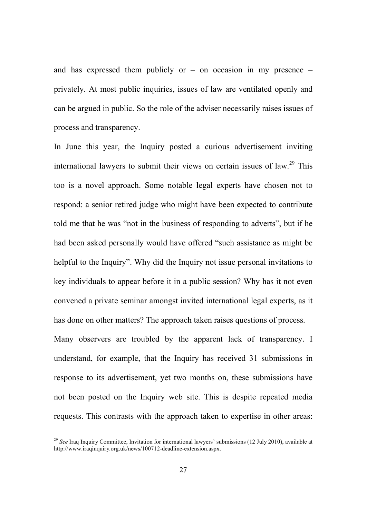and has expressed them publicly or  $-$  on occasion in my presence  $$ privately. At most public inquiries, issues of law are ventilated openly and can be argued in public. So the role of the adviser necessarily raises issues of process and transparency.

In June this year, the Inquiry posted a curious advertisement inviting international lawyers to submit their views on certain issues of law.<sup>29</sup> This too is a novel approach. Some notable legal experts have chosen not to respond: a senior retired judge who might have been expected to contribute told me that he was "not in the business of responding to adverts", but if he had been asked personally would have offered "such assistance as might be helpful to the Inquiry". Why did the Inquiry not issue personal invitations to key individuals to appear before it in a public session? Why has it not even convened a private seminar amongst invited international legal experts, as it has done on other matters? The approach taken raises questions of process. Many observers are troubled by the apparent lack of transparency. I understand, for example, that the Inquiry has received 31 submissions in response to its advertisement, yet two months on, these submissions have not been posted on the Inquiry web site. This is despite repeated media requests. This contrasts with the approach taken to expertise in other areas:

<sup>&</sup>lt;sup>29</sup> See Iraq Inquiry Committee, Invitation for international lawyers' submissions (12 July 2010), available at http://www.iraqinquiry.org.uk/news/100712-deadline-extension.aspx.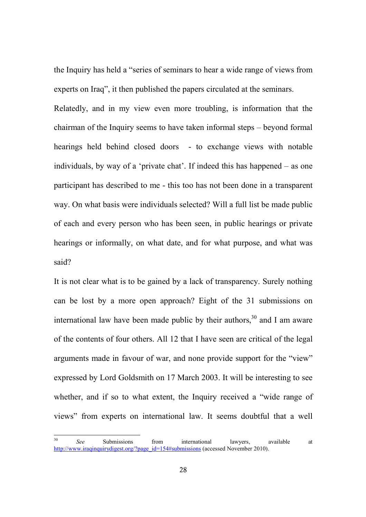the Inquiry has held a "series of seminars to hear a wide range of views from experts on Iraq", it then published the papers circulated at the seminars.

Relatedly, and in my view even more troubling, is information that the chairman of the Inquiry seems to have taken informal steps – beyond formal hearings held behind closed doors - to exchange views with notable individuals, by way of a 'private chat'. If indeed this has happened – as one participant has described to me - this too has not been done in a transparent way. On what basis were individuals selected? Will a full list be made public of each and every person who has been seen, in public hearings or private hearings or informally, on what date, and for what purpose, and what was said?

It is not clear what is to be gained by a lack of transparency. Surely nothing can be lost by a more open approach? Eight of the 31 submissions on international law have been made public by their authors,  $30^{\circ}$  and I am aware of the contents of four others. All 12 that I have seen are critical of the legal arguments made in favour of war, and none provide support for the "view" expressed by Lord Goldsmith on 17 March 2003. It will be interesting to see whether, and if so to what extent, the Inquiry received a "wide range of views" from experts on international law. It seems doubtful that a well

<sup>30</sup> *See* Submissions from international lawyers, available at http://www.iraqinquirydigest.org/?page\_id=154#submissions (accessed November 2010).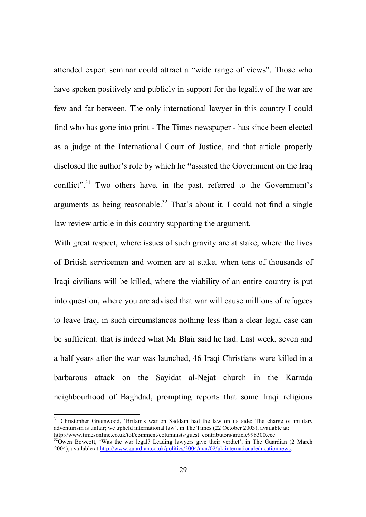attended expert seminar could attract a "wide range of views". Those who have spoken positively and publicly in support for the legality of the war are few and far between. The only international lawyer in this country I could find who has gone into print - The Times newspaper - has since been elected as a judge at the International Court of Justice, and that article properly disclosed the author's role by which he **"**assisted the Government on the Iraq conflict".<sup>31</sup> Two others have, in the past, referred to the Government's arguments as being reasonable.<sup>32</sup> That's about it. I could not find a single law review article in this country supporting the argument.

With great respect, where issues of such gravity are at stake, where the lives of British servicemen and women are at stake, when tens of thousands of Iraqi civilians will be killed, where the viability of an entire country is put into question, where you are advised that war will cause millions of refugees to leave Iraq, in such circumstances nothing less than a clear legal case can be sufficient: that is indeed what Mr Blair said he had. Last week, seven and a half years after the war was launched, 46 Iraqi Christians were killed in a barbarous attack on the Sayidat al-Nejat church in the Karrada neighbourhood of Baghdad, prompting reports that some Iraqi religious

<sup>&</sup>lt;sup>31</sup> Christopher Greenwood, 'Britain's war on Saddam had the law on its side: The charge of military adventurism is unfair; we upheld international law', in The Times (22 October 2003), available at: http://www.timesonline.co.uk/tol/comment/columnists/guest\_contributors/article998300.ece.

 $32\overline{O}$ wen Bowcott, 'Was the war legal? Leading lawyers give their verdict', in The Guardian (2 March 2004), available at http://www.guardian.co.uk/politics/2004/mar/02/uk.internationaleducationnews.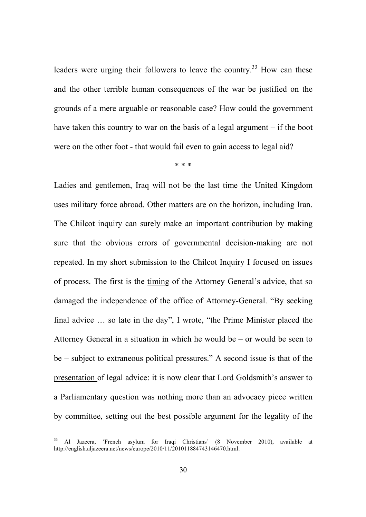leaders were urging their followers to leave the country.<sup>33</sup> How can these and the other terrible human consequences of the war be justified on the grounds of a mere arguable or reasonable case? How could the government have taken this country to war on the basis of a legal argument – if the boot were on the other foot - that would fail even to gain access to legal aid?

\* \* \*

Ladies and gentlemen, Iraq will not be the last time the United Kingdom uses military force abroad. Other matters are on the horizon, including Iran. The Chilcot inquiry can surely make an important contribution by making sure that the obvious errors of governmental decision-making are not repeated. In my short submission to the Chilcot Inquiry I focused on issues of process. The first is the timing of the Attorney General's advice, that so damaged the independence of the office of Attorney-General. "By seeking final advice … so late in the day", I wrote, "the Prime Minister placed the Attorney General in a situation in which he would be – or would be seen to be – subject to extraneous political pressures." A second issue is that of the presentation of legal advice: it is now clear that Lord Goldsmith's answer to a Parliamentary question was nothing more than an advocacy piece written by committee, setting out the best possible argument for the legality of the

<sup>33</sup> Al Jazeera, 'French asylum for Iraqi Christians' (8 November 2010), available at http://english.aljazeera.net/news/europe/2010/11/201011884743146470.html.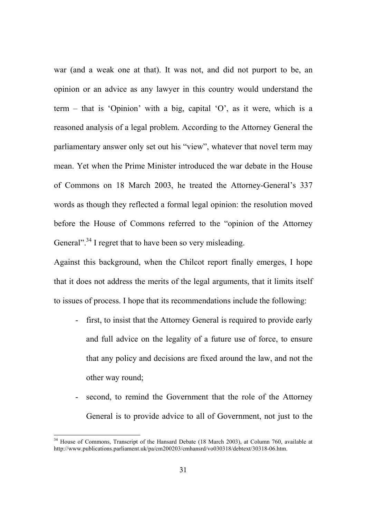war (and a weak one at that). It was not, and did not purport to be, an opinion or an advice as any lawyer in this country would understand the term – that is 'Opinion' with a big, capital 'O', as it were, which is a reasoned analysis of a legal problem. According to the Attorney General the parliamentary answer only set out his "view", whatever that novel term may mean. Yet when the Prime Minister introduced the war debate in the House of Commons on 18 March 2003, he treated the Attorney-General's 337 words as though they reflected a formal legal opinion: the resolution moved before the House of Commons referred to the "opinion of the Attorney General"<sup>34</sup> I regret that to have been so very misleading.

Against this background, when the Chilcot report finally emerges, I hope that it does not address the merits of the legal arguments, that it limits itself to issues of process. I hope that its recommendations include the following:

- first, to insist that the Attorney General is required to provide early and full advice on the legality of a future use of force, to ensure that any policy and decisions are fixed around the law, and not the other way round;
- second, to remind the Government that the role of the Attorney General is to provide advice to all of Government, not just to the

<sup>&</sup>lt;sup>34</sup> House of Commons, Transcript of the Hansard Debate (18 March 2003), at Column 760, available at http://www.publications.parliament.uk/pa/cm200203/cmhansrd/vo030318/debtext/30318-06.htm.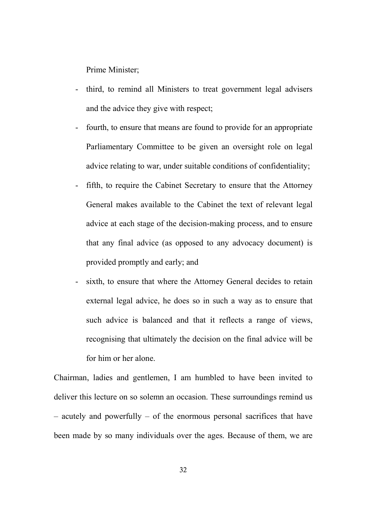Prime Minister;

- third, to remind all Ministers to treat government legal advisers and the advice they give with respect;
- fourth, to ensure that means are found to provide for an appropriate Parliamentary Committee to be given an oversight role on legal advice relating to war, under suitable conditions of confidentiality;
- fifth, to require the Cabinet Secretary to ensure that the Attorney General makes available to the Cabinet the text of relevant legal advice at each stage of the decision-making process, and to ensure that any final advice (as opposed to any advocacy document) is provided promptly and early; and
- sixth, to ensure that where the Attorney General decides to retain external legal advice, he does so in such a way as to ensure that such advice is balanced and that it reflects a range of views, recognising that ultimately the decision on the final advice will be for him or her alone.

Chairman, ladies and gentlemen, I am humbled to have been invited to deliver this lecture on so solemn an occasion. These surroundings remind us – acutely and powerfully – of the enormous personal sacrifices that have been made by so many individuals over the ages. Because of them, we are